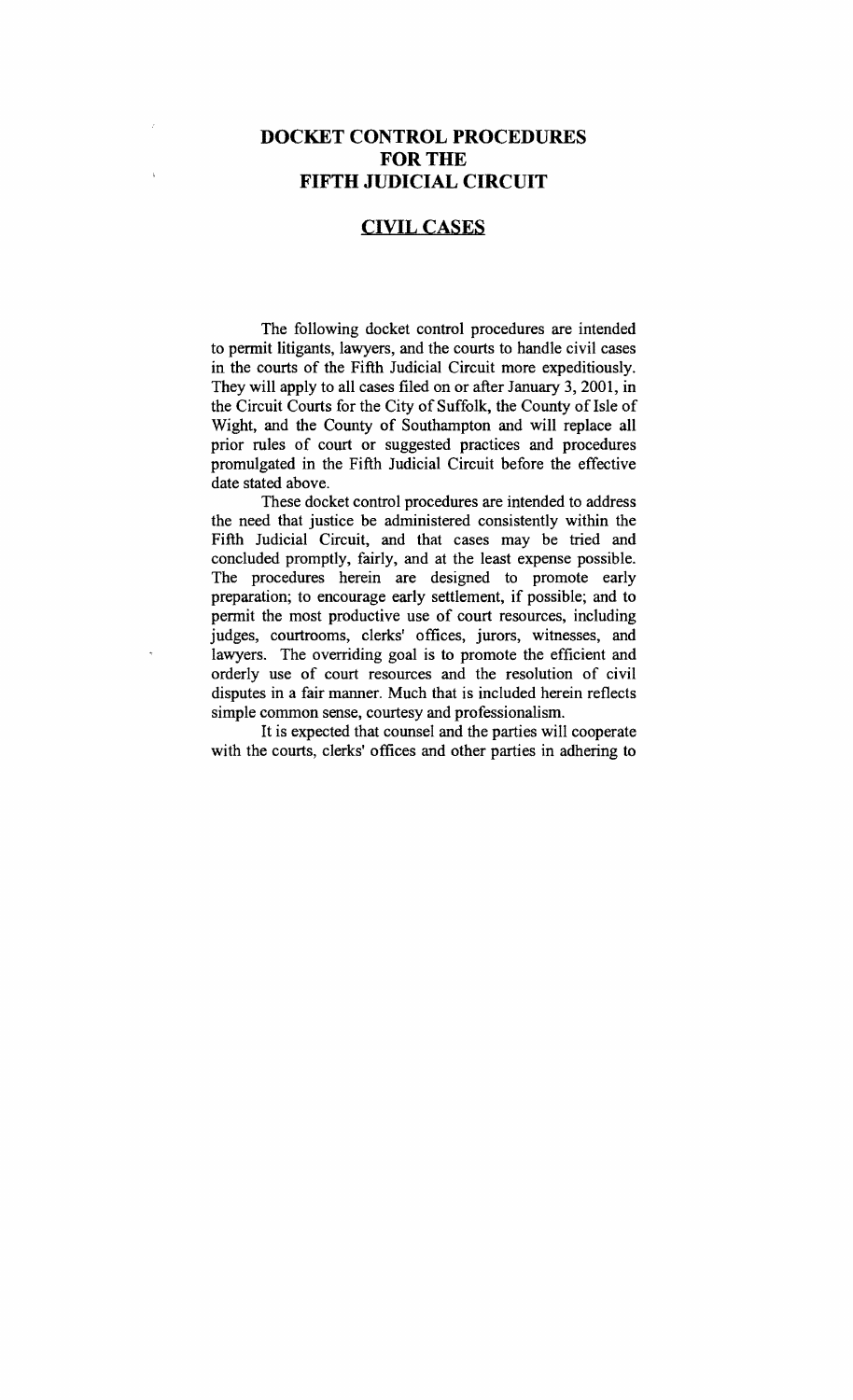# DOCKET CONTROL PROCEDURES FOR THE **FIFTH JUDICIAL CIRCUIT**

## CIVIL CASES

The following docket control procedures are intended to pennit litigants, lawyers, and the courts to handle civil cases in the courts of the Fifth Judicial Circuit more expeditiously. They will apply to all cases filed on or after January 3,2001, in the Circuit Courts for the City of Suffolk, the County of Isle of Wight, and the County of Southampton and will replace all prior rules of court or suggested practices and procedures promUlgated in the Fifth Judicial Circuit before the effective date stated above.

These docket control procedures are intended to address the need that justice be administered consistently within the Fifth Judicial Circuit, and that cases may be tried and concluded promptly, fairly, and at the least expense possible. The procedures herein are designed to promote early preparation; to encourage early settlement, if possible; and to pennit the most productive use of court resources, including judges, courtrooms, clerks' offices, jurors, witnesses, and lawyers. The overriding goal is to promote the efficient and orderly use of court resources and the resolution of civil disputes in a fair manner. Much that is included herein reflects simple common sense, courtesy and professionalism.

It is expected that counsel and the parties will cooperate with the courts, clerks' offices and other parties in adhering to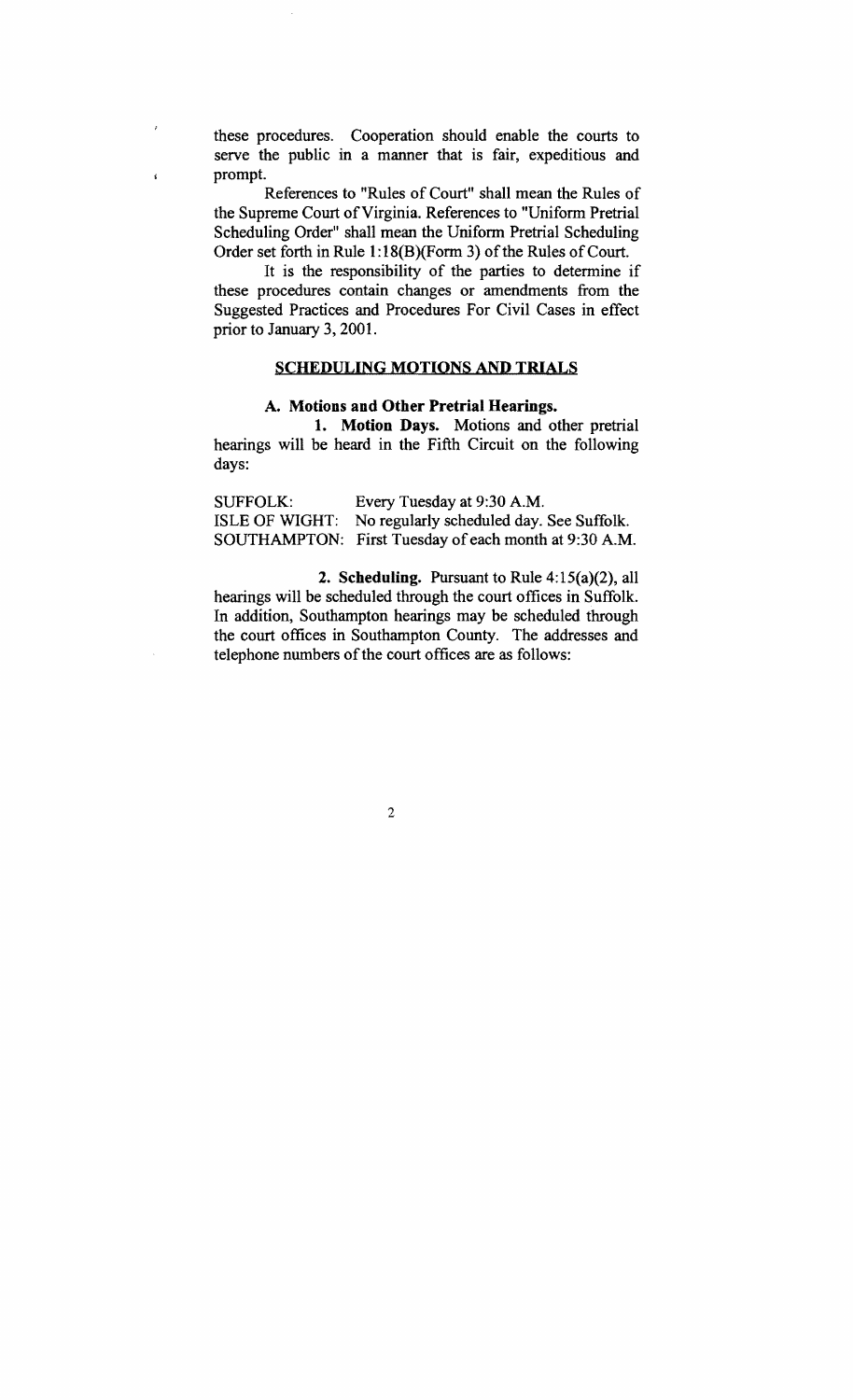these procedures. Cooperation should enable the courts to serve the public in a manner that is fair, expeditious and prompt.

š.

References to "Rules of Court" shall mean the Rules of the Supreme Court of Virginia. References to "Uniform Pretrial Scheduling Order" shall mean the Uniform Pretrial Scheduling Order set forth in Rule  $1:18(B)$ (Form 3) of the Rules of Court.

It is the responsibility of the parties to determine if these procedures contain changes or amendments from the Suggested Practices and Procedures For Civil Cases in effect prior to January 3, 2001.

## **SCHEDULING MOTIONS AND TRIALS**

#### **A. Motions and Other Pretrial Hearings.**

**1. Motion Days.** Motions and other pretrial hearings will be heard in the Fifth Circuit on the following days:

SUFFOLK: Every Tuesday at 9:30 A.M. ISLE OF WIGHT: No regularly scheduled day. See Suffolk. SOUTHAMPTON: First Tuesday of each month at 9:30 A.M.

**2. Scheduling.** Pursuant to Rule 4: 15(a)(2), all hearings will be scheduled through the court offices in Suffolk. In addition, Southampton hearings may be scheduled through the court offices in Southampton County. The addresses and telephone numbers of the court offices are as follows: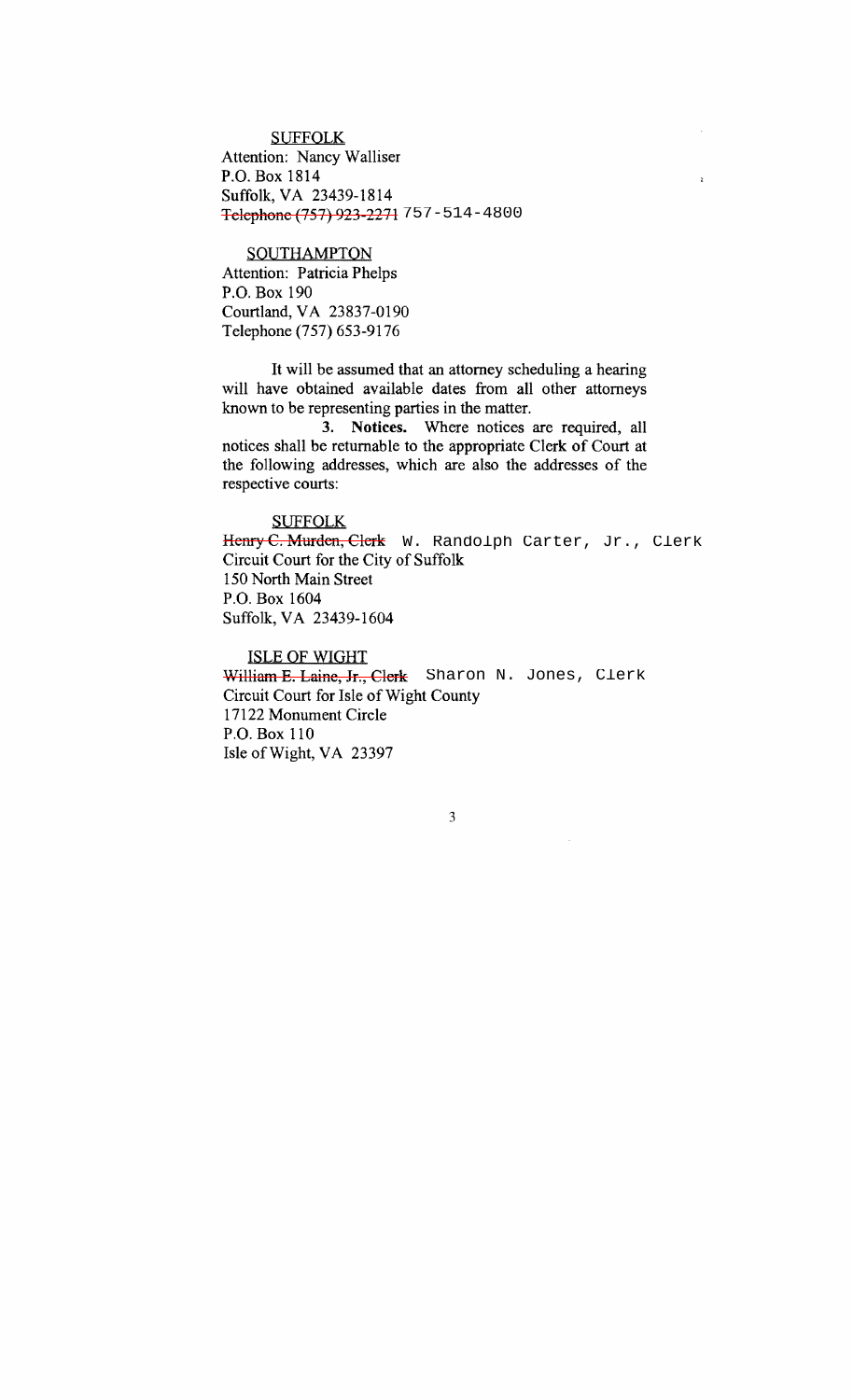**SUFFOLK** Attention: Nancy Walliser P.O. Box 1814 Suffolk, VA 23439-1814 Telephone (757) 923-2271 757-514-4800

SOUTHAMPTON Attention: Patricia Phelps P.O. Box 190 Courtland, VA 23837-0190 Telephone (757) 653-9176

It will be assumed that an attorney scheduling a hearing will have obtained available dates from all other attorneys known to be representing parties in the matter.

 $\bar{\mathbf{x}}$ 

3. Notices. Where notices are required, all notices shall be returnable to the appropriate Clerk of Court at the following addresses, which are also the addresses of the respective courts:

SUFFOLK Henry C. Murden, Clerk W. Randolph Carter, Jr., Clerk Circuit Court for the City of Suffolk 150 North Main Street P.O. Box 1604 Suffolk, VA 23439-1604 The Maximum of the data and a starting a starting that an attorney scheduling a hearing<br>the dates from all other attorneys arties in the matter.<br>Where notices are required, all to the appropriate Clerk of Court at<br>which ar

ISLE OF WIGHT William E. Laine, Jr., Clerk Sharon N. Jones, Clerk Circuit Court for Isle of Wight County 17122 Monument Circle P.O. Box 110 Isle ofWight, VA 23397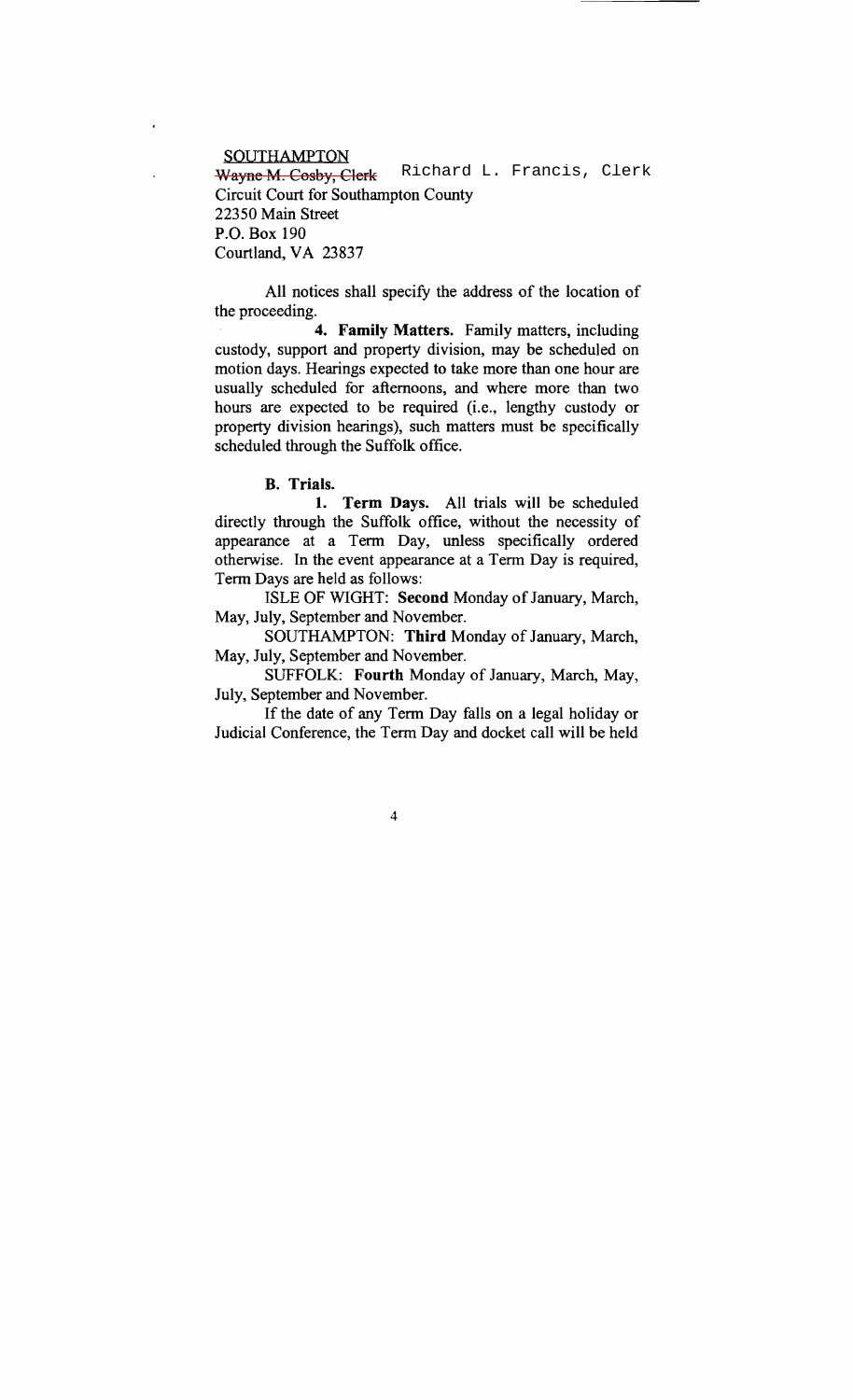SOUTHAMPTON Wayne M. Cosby, Clerk Circuit Court for Southampton County 22350 Main Street P.O. Box 190 Courtland, VA 23837 Richard L. Francis, Clerk

All notices shall specify the address of the location of the proceeding.

**4. Family Matters.** Family matters, including custody, support and property division, may be scheduled on motion days. Hearings expected to take more than one hour are usually scheduled for afternoons, and where more than two hours are expected to be required (i.e., lengthy custody or property division hearings), such matters must be specifically scheduled through the Suffolk office.

#### **B. Trials.**

**1. Term Days.** All trials will be scheduled directly through the Suffolk office, without the necessity of appearance at a Term Day, unless specifically ordered otherwise. In the event appearance at a Term Day is required, Term Days are held as follows:

ISLE OF WIGHT: Second Monday of January, March, May, July, September and November.

SOUTHAMPTON: **Third** Monday of January, March, May, July, September and November.

SUFFOLK: **Fourth** Monday of January, March, May, July, September and November.

If the date of any Term Day falls on a legal holiday or Judicial Conference, the Term Day and docket call will be held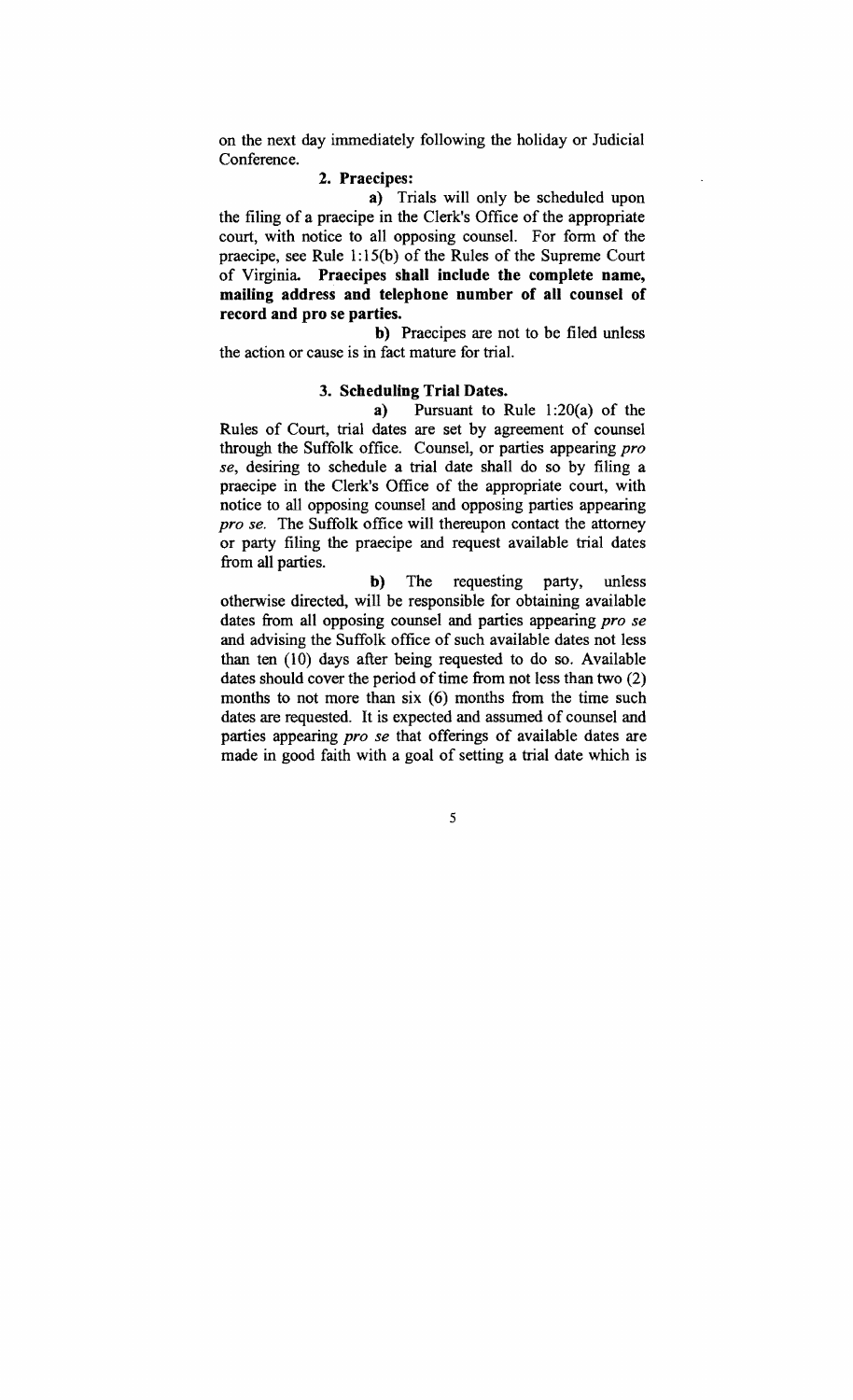on the next day immediately following the holiday or Judicial Conference.

### 2. Praecipes:

a) Trials will only be scheduled upon the filing of a praecipe in the Clerk's Office of the appropriate court, with notice to all opposing counsel. For fonn of the praecipe, see Rule 1: 15(b) of the Rules of the Supreme Court of Virginia. Praecipes shall include the complete name, mailing address and telephone number of all counsel of record and pro se parties.

b) Praecipes are not to be filed unless the action or cause is in fact mature for trial.

#### 3. Scheduling Trial Dates.

a) Pursuant to Rule  $1:20(a)$  of the Rules of Court, trial dates are set by agreement of counsel through the Suffolk office. Counsel, or parties appearing *pro se,* desiring to schedule a trial date shall do so by filing a praecipe in the Clerk's Office of the appropriate court, with notice to all opposing counsel and opposing parties appearing *pro se.* The Suffolk office will thereupon contact the attorney or party filing the praecipe and request available trial dates from all parties.

b) The requesting party, unless otherwise directed, will be responsible for obtaining available dates from all opposing counsel and parties appearing *pro se*  and advising the Suffolk office of such available dates not less than ten (10) days after being requested to do so. Available dates should cover the period of time from not less than two (2) months to not more than six (6) months from the time such dates are requested. It is expected and assumed of counsel and parties appearing *pro se* that offerings of available dates are made in good faith with a goal of setting a trial date which is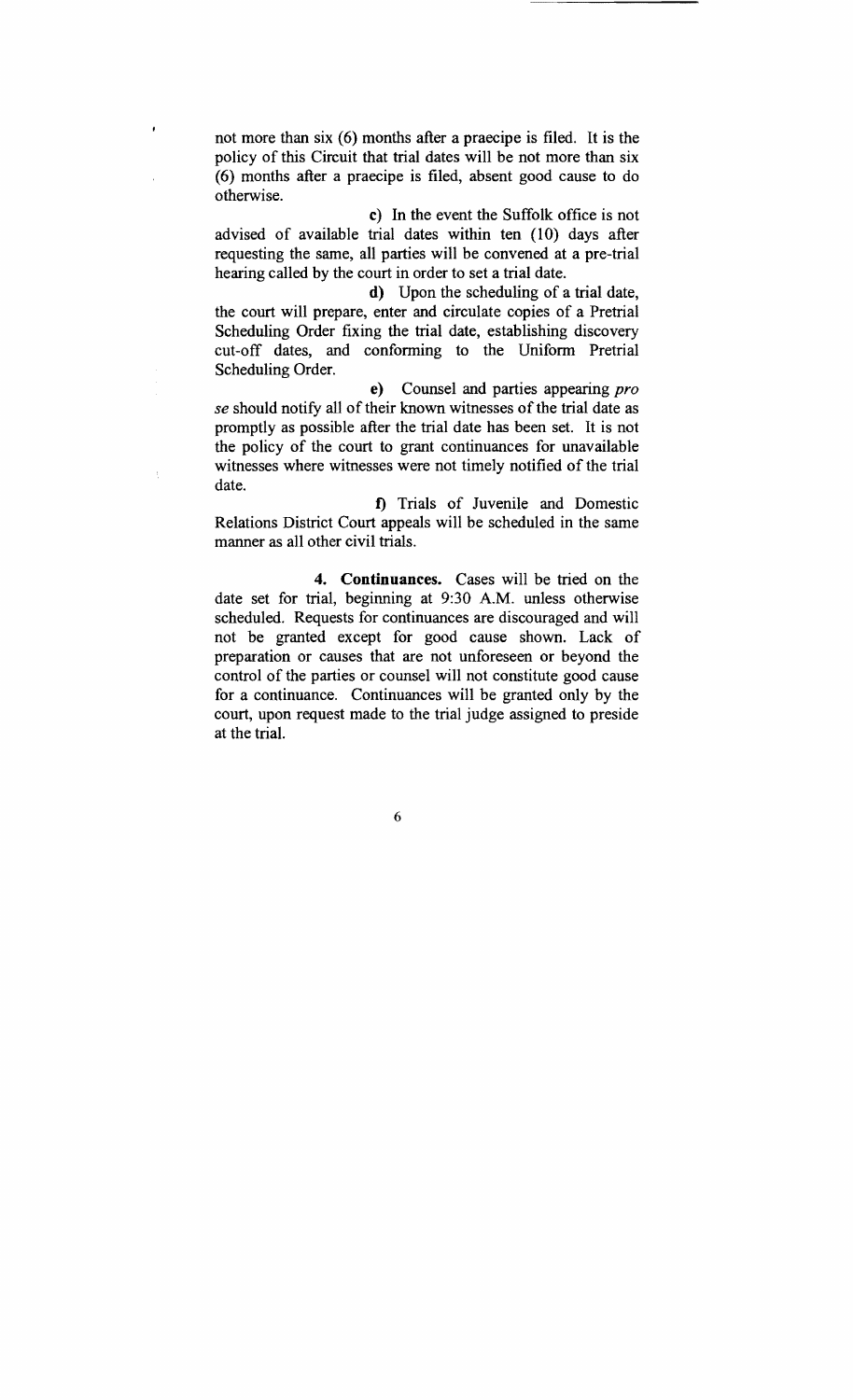not more than six (6) months after a praecipe is filed. It is the policy of this Circuit that trial dates will be not more than six (6) months after a praecipe is filed, absent good cause to do otherwise.

c) In the event the Suffolk office is not advised of available trial dates within ten (10) days after requesting the same, all parties will be convened at a pre-trial hearing called by the court in order to set a trial date.

**d)** Upon the scheduling of a trial date, the court will prepare, enter and circulate copies of a Pretrial Scheduling Order fixing the trial date, establishing discovery cut-off dates, and conforming to the Uniform Pretrial Scheduling Order.

e) Counsel and parties appearing *pro se* should notify all of their known witnesses of the trial date as promptly as possible after the trial date has been set. It is not the policy of the court to grant continuances for unavailable witnesses where witnesses were not timely notified of the trial date.

1) Trials of Juvenile and Domestic Relations District Court appeals will be scheduled in the same manner as all other civil trials.

4. **Continuances.** Cases will be tried on the date set for trial, beginning at 9:30 A.M. unless otherwise scheduled. Requests for continuances are discouraged and will not be granted except for good cause shown. Lack of preparation or causes that are not unforeseen or beyond the control of the parties or counsel will not constitute good cause for a continuance. Continuances will be granted only by the court, upon request made to the trial judge assigned to preside at the trial.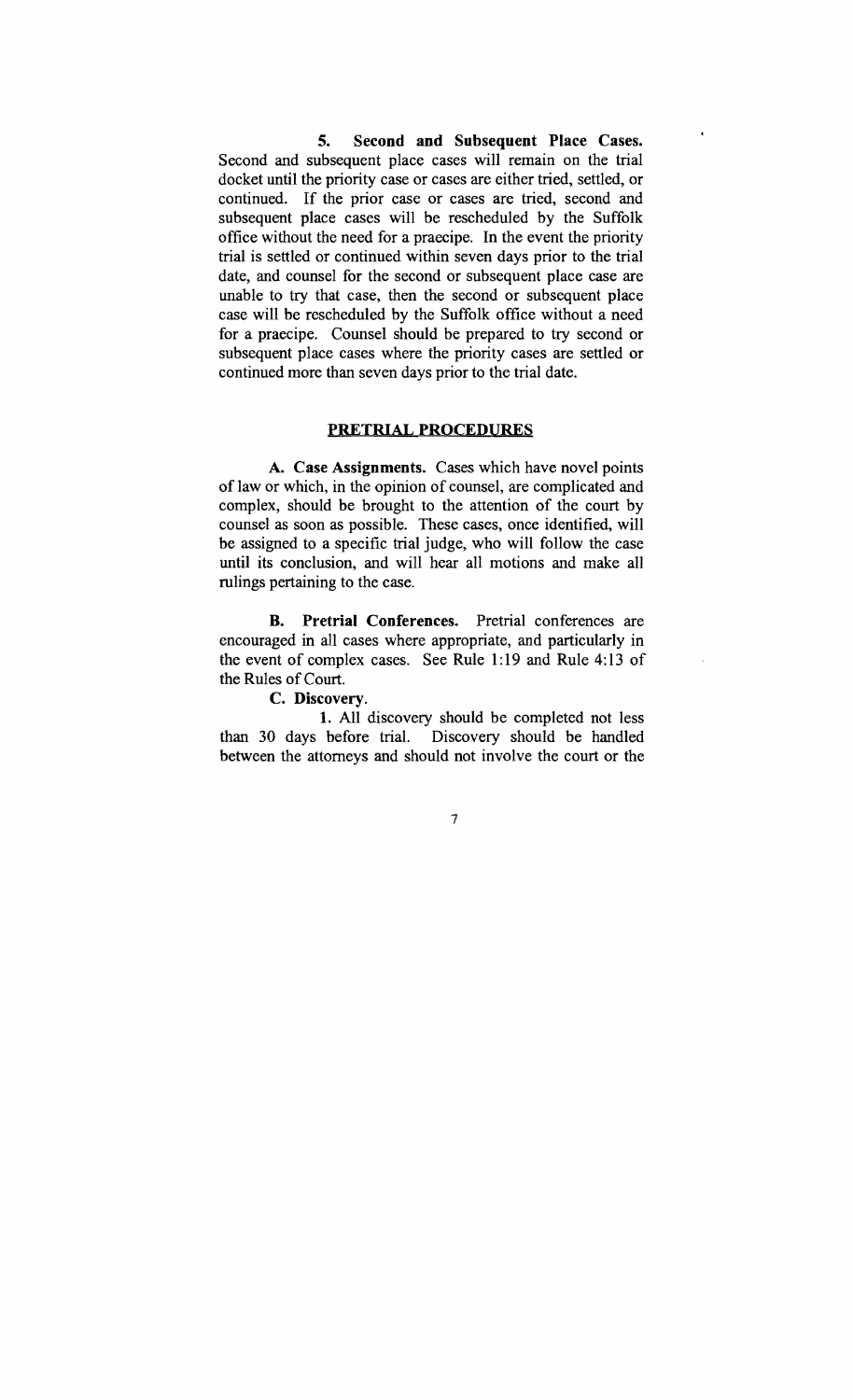5. Second and Subsequent Place Cases. Second and subsequent place cases will remain on the trial docket until the priority case or cases are either tried, settled, or continued. If the prior case or cases are tried, second and subsequent place cases will be rescheduled by the Suffolk office without the need for a praecipe. In the event the priority trial is settled or continued within seven days prior to the trial date, and counsel for the second or subsequent place case are unable to try that case, then the second or subsequent place case will be rescheduled by the Suffolk office without a need for a praecipe. Counsel should be prepared to try second or subsequent place cases where the priority cases are settled or continued more than seven days prior to the trial date.

 $\blacksquare$ 

#### PRETRIAL PROCEDURES

A. Case Assignments. Cases which have novel points of law or which, in the opinion of counsel, are complicated and complex, should be brought to the attention of the court by counsel as soon as possible. These cases, once identified, will be assigned to a specific trial judge, who will follow the case until its conclusion, and will hear all motions and make all rulings pertaining to the case.

B. Pretrial Conferences. Pretrial conferences are encouraged in all cases where appropriate, and particularly in the event of complex cases. See Rule 1:19 and Rule 4:13 of the Rules of Court.

C. Discovery.

1. All discovery should be completed not less than 30 days before trial. Discovery should be handled between the attorneys and should not involve the court or the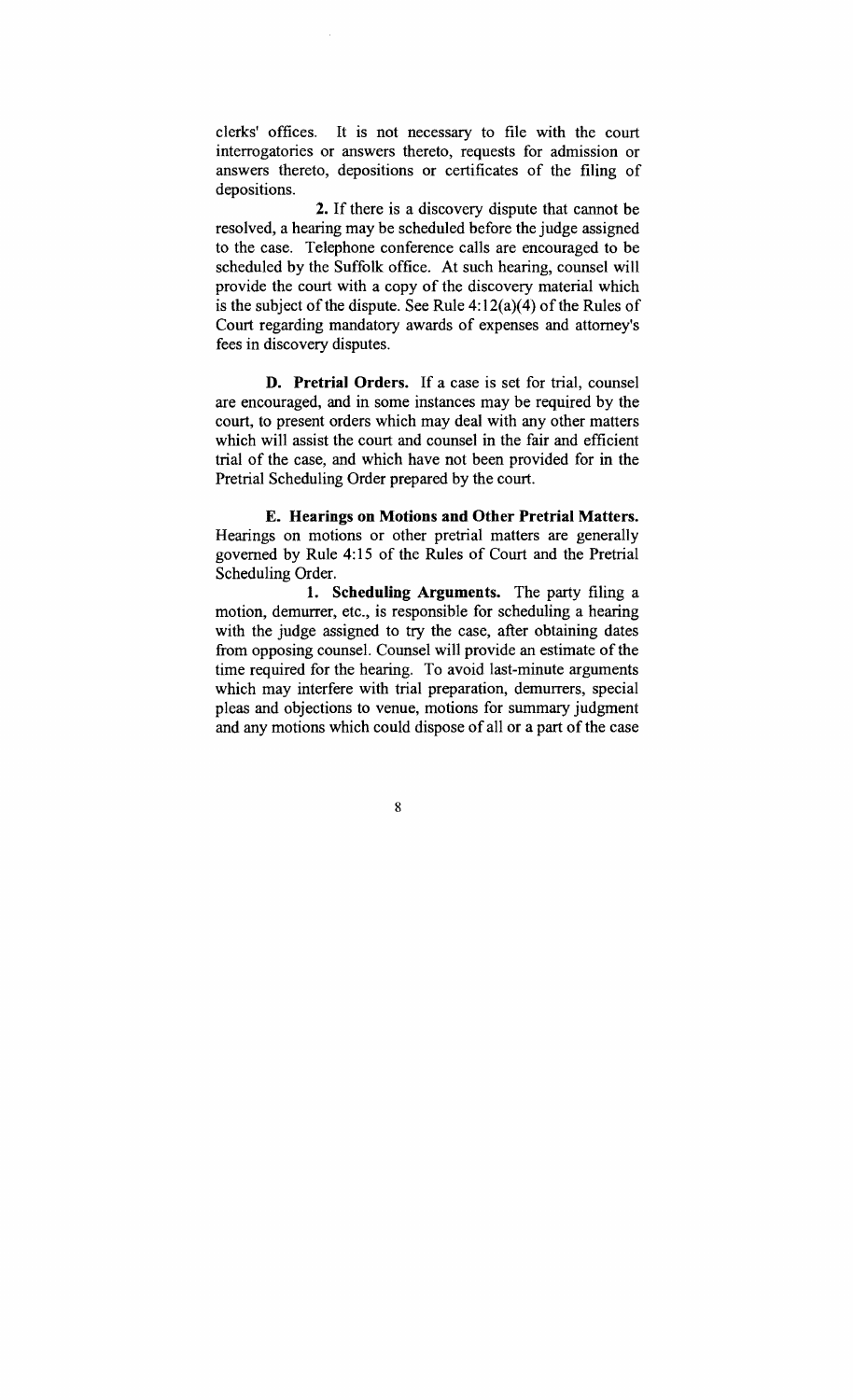clerks' offices. It is not necessary to file with the court interrogatories or answers thereto, requests for admission or answers thereto, depositions or certificates of the filing of depositions.

2. If there is a discovery dispute that cannot be resolved, a hearing may be scheduled before the judge assigned to the case. Telephone conference calls are encouraged to be scheduled by the Suffolk office. At such hearing, counsel will provide the court with a copy of the discovery material which is the subject of the dispute. See Rule  $4:12(a)(4)$  of the Rules of Court regarding mandatory awards of expenses and attorney's fees in discovery disputes.

D. Pretrial Orders. If a case is set for trial, counsel are encouraged, and in some instances may be required by the court, to present orders which may deal with any other matters which will assist the court and counsel in the fair and efficient trial of the case, and which have not been provided for in the Pretrial Scheduling Order prepared by the court.

E. Hearings on Motions and Other Pretrial Matters. Hearings on motions or other pretrial matters are generally governed by Rule 4: 15 of the Rules of Court and the Pretrial Scheduling Order.

1. Scheduling Arguments. The party filing a motion, demurrer, etc., is responsible for scheduling a hearing with the judge assigned to try the case, after obtaining dates from opposing counsel. Counsel will provide an estimate of the time required for the hearing. To avoid last-minute arguments which may interfere with trial preparation, demurrers, special pleas and objections to venue, motions for summary judgment and any motions which could dispose of all or a part of the case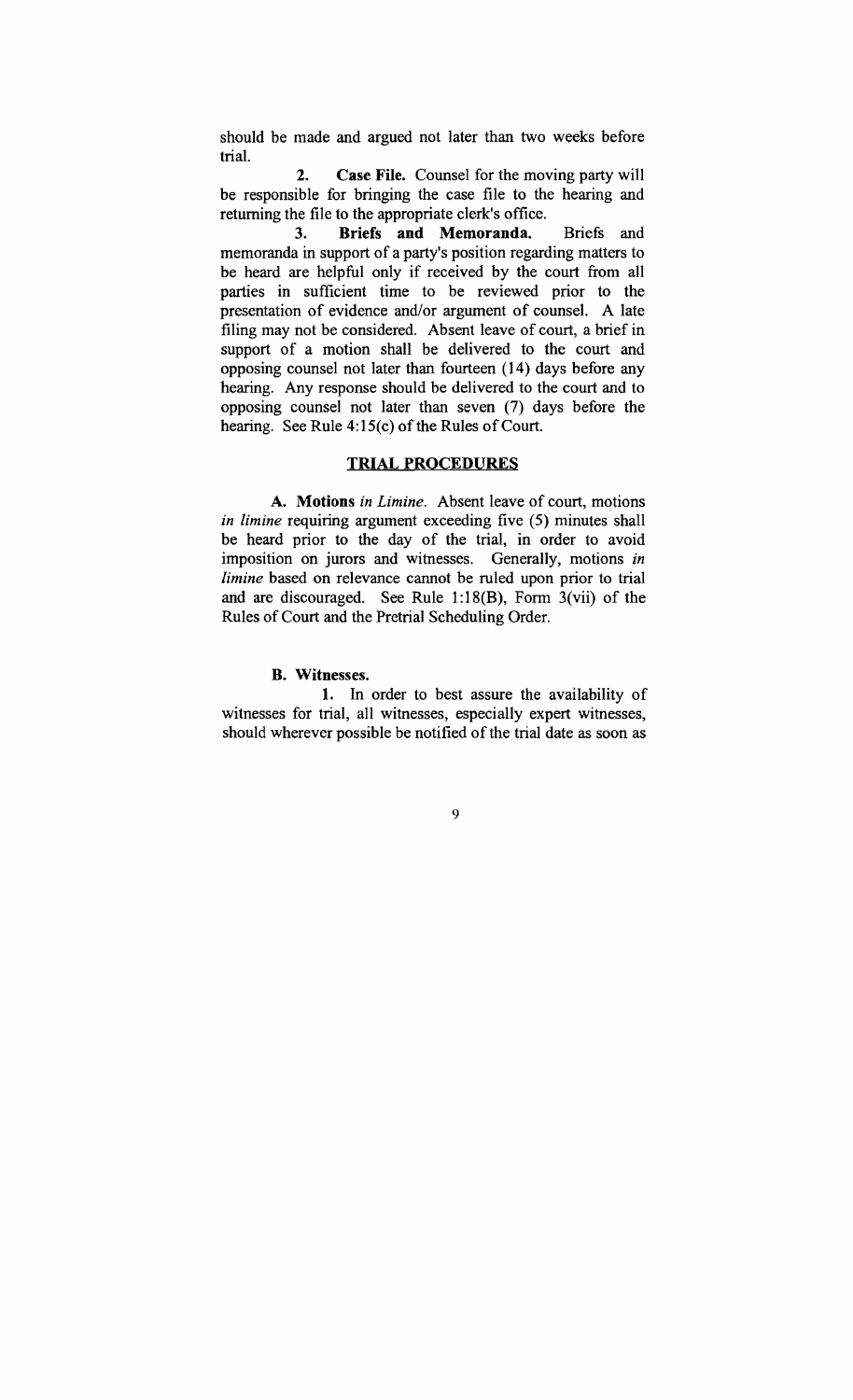should be made and argued not later than two weeks before trial.

2. Case File. Counsel for the moving party will be responsible for bringing the case file to the hearing and returning the file to the appropriate clerk's office.

3. Briefs and Memoranda. Briefs and memoranda in support of a party's position regarding matters to be heard are helpful only if received by the court from all parties in sufficient time to be reviewed prior to the presentation of evidence and/or argument of counsel. A late filing may not be considered. Absent leave of court, a brief in support of a motion shall be delivered to the court and opposing counsel not later than fourteen (14) days before any hearing. Any response should be delivered to the court and to opposing counsel not later than seven (7) days before the hearing. See Rule  $4:15(c)$  of the Rules of Court.

### TRIAL PROCEDURES

A. Motions *in Limine.* Absent leave of court, motions *in limine* requiring argument exceeding five (5) minutes shall be heard prior to the day of the trial, in order to avoid imposition on jurors and witnesses. Generally, motions *in limine* based on relevance cannot be ruled upon prior to trial and are discouraged. See Rule 1:18(B), Form 3(vii) of the Rules of Court and the Pretrial Scheduling Order.

### B. Witnesses.

1. In order to best assure the availability of witnesses for trial, all witnesses, especially expert witnesses, should wherever possible be notified of the trial date as soon as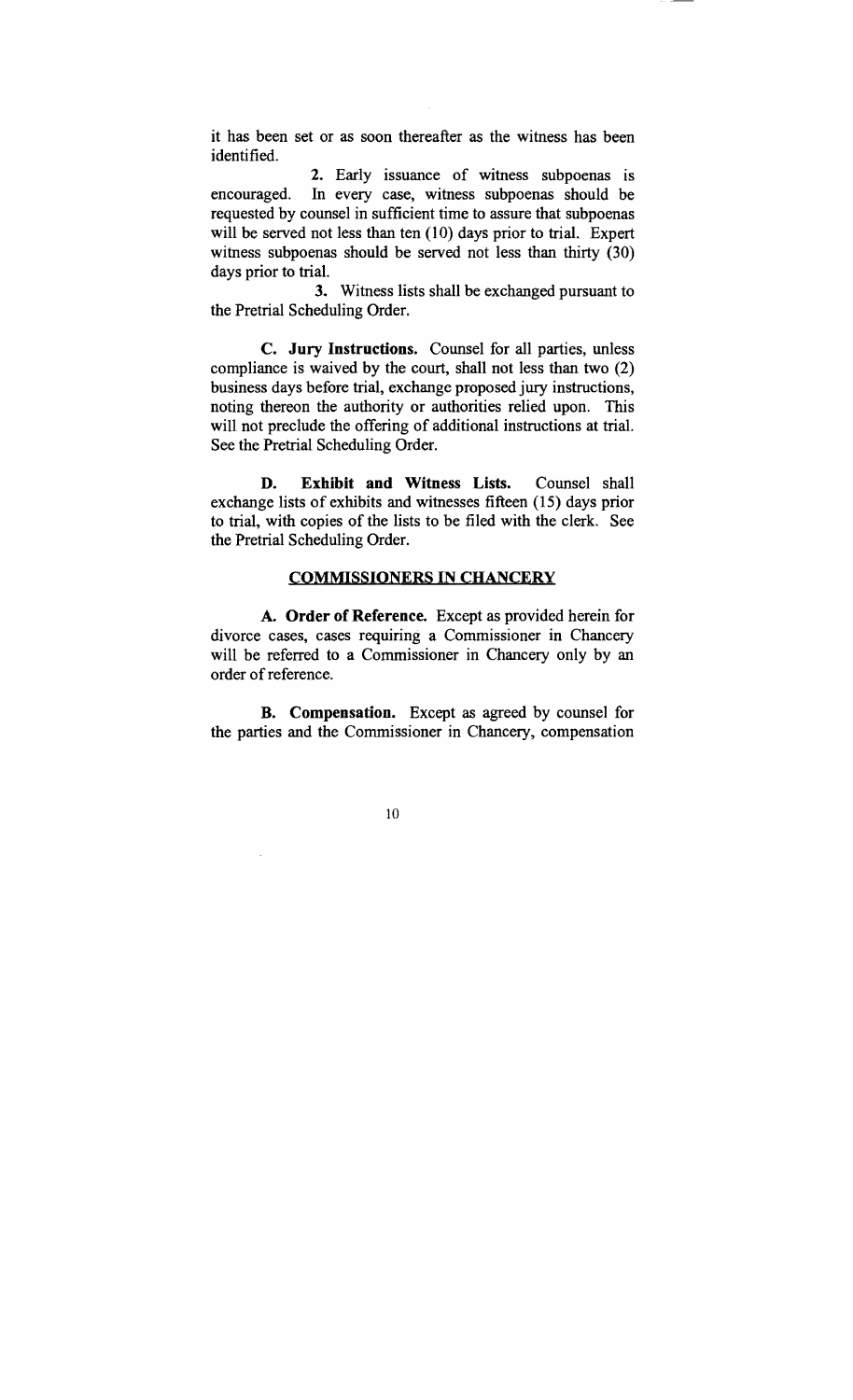it has been set or as soon thereafter as the witness has been identified.

2. Early issuance of witness subpoenas is encouraged. In every case, witness subpoenas should be requested by counsel in sufficient time to assure that subpoenas will be served not less than ten (10) days prior to trial. Expert witness subpoenas should be served not less than thirty (30) days prior to trial.

3. Witness lists shall be exchanged pursuant to the Pretrial Scheduling Order.

C. Jury Instructions. Counsel for all parties, unless compliance is waived by the court, shall not less than two (2) business days before trial, exchange proposed jury instructions, noting thereon the authority or authorities relied upon. This will not preclude the offering of additional instructions at trial. See the Pretrial Scheduling Order.

D. Exhibit and Witness Lists. Counsel shall exchange lists of exhibits and witnesses fifteen (15) days prior to trial, with copies of the lists to be filed with the clerk. See the Pretrial Scheduling Order.

#### COMMISSIONERS IN CHANCERY

A. Order of Reference. Except as provided herein for divorce cases, cases requiring a Commissioner in Chancery will be referred to a Commissioner in Chancery only by an order of reference.

B. Compensation. Except as agreed by counsel for the parties and the Commissioner in Chancery, compensation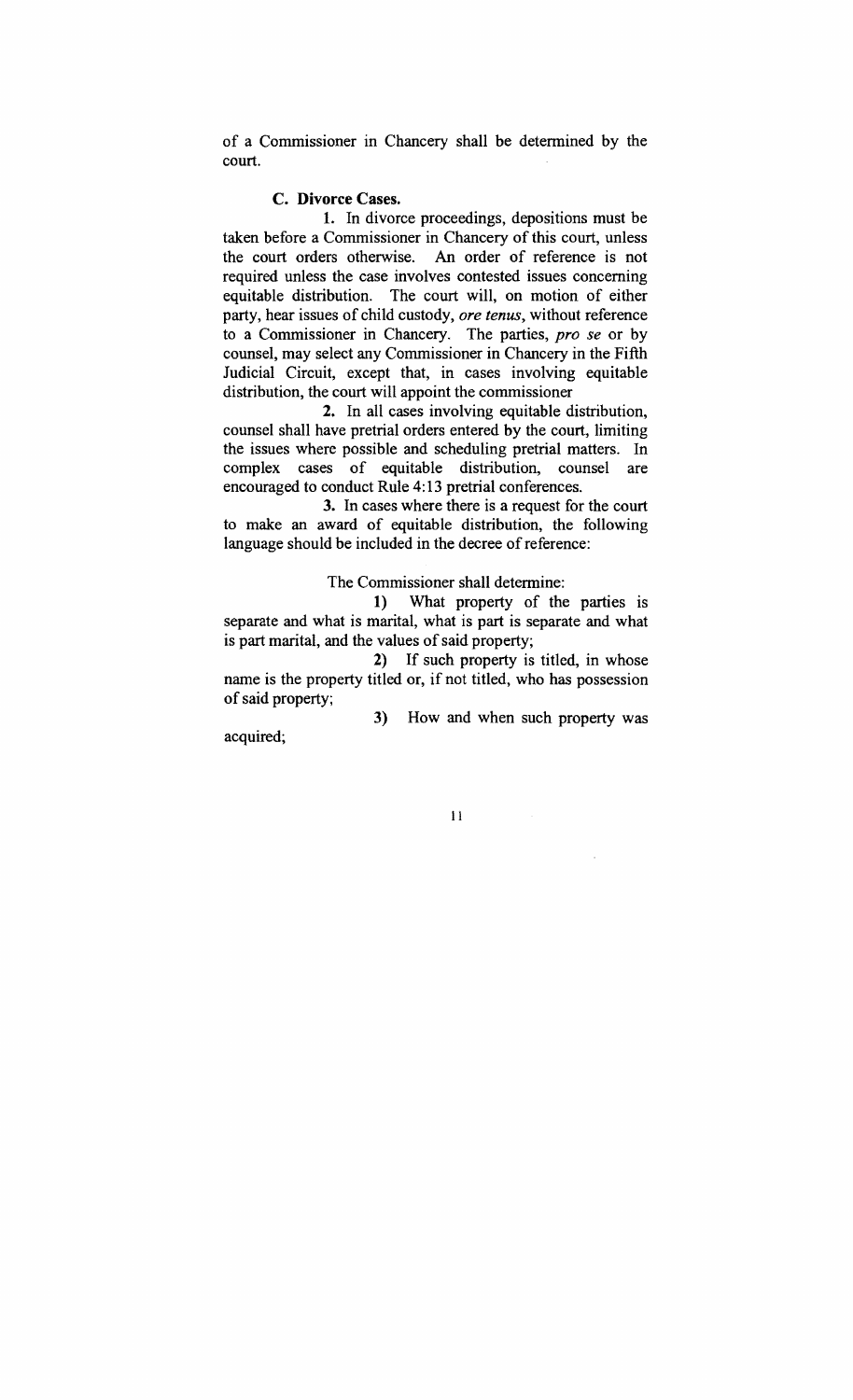of a Commissioner in Chancery shall be detennined by the court.

### C. Divorce Cases.

1. In divorce proceedings, depositions must be taken before a Commissioner in Chancery of this court, unless the court orders otherwise. An order of reference is not required unless the case involves contested issues concerning equitable distribution. The court will, on motion of either party, hear issues of child custody, *ore tenus,* without reference to a Commissioner in Chancery. The parties, *pro se* or by counsel, may select any Commissioner in Chancery in the Fifth Judicial Circuit, except that, in cases involving equitable distribution, the court will appoint the commissioner

2. In all cases involving equitable distribution, counsel shall have pretrial orders entered by the court, limiting the issues where possible and scheduling pretrial matters. In complex cases of equitable distribution, counsel are encouraged to conduct Rule 4: 13 pretrial conferences.

3. In cases where there is a request for the court to make an award of equitable distribution, the following language should be included in the decree of reference:

The Commissioner shall determine:

1) What property of the parties is separate and what is marital, what is part is separate and what is part marital, and the values of said property;

2) If such property is titled, in whose name is the property titled or, if not titled, who has possession of said property;

3) How and when such property was acquired;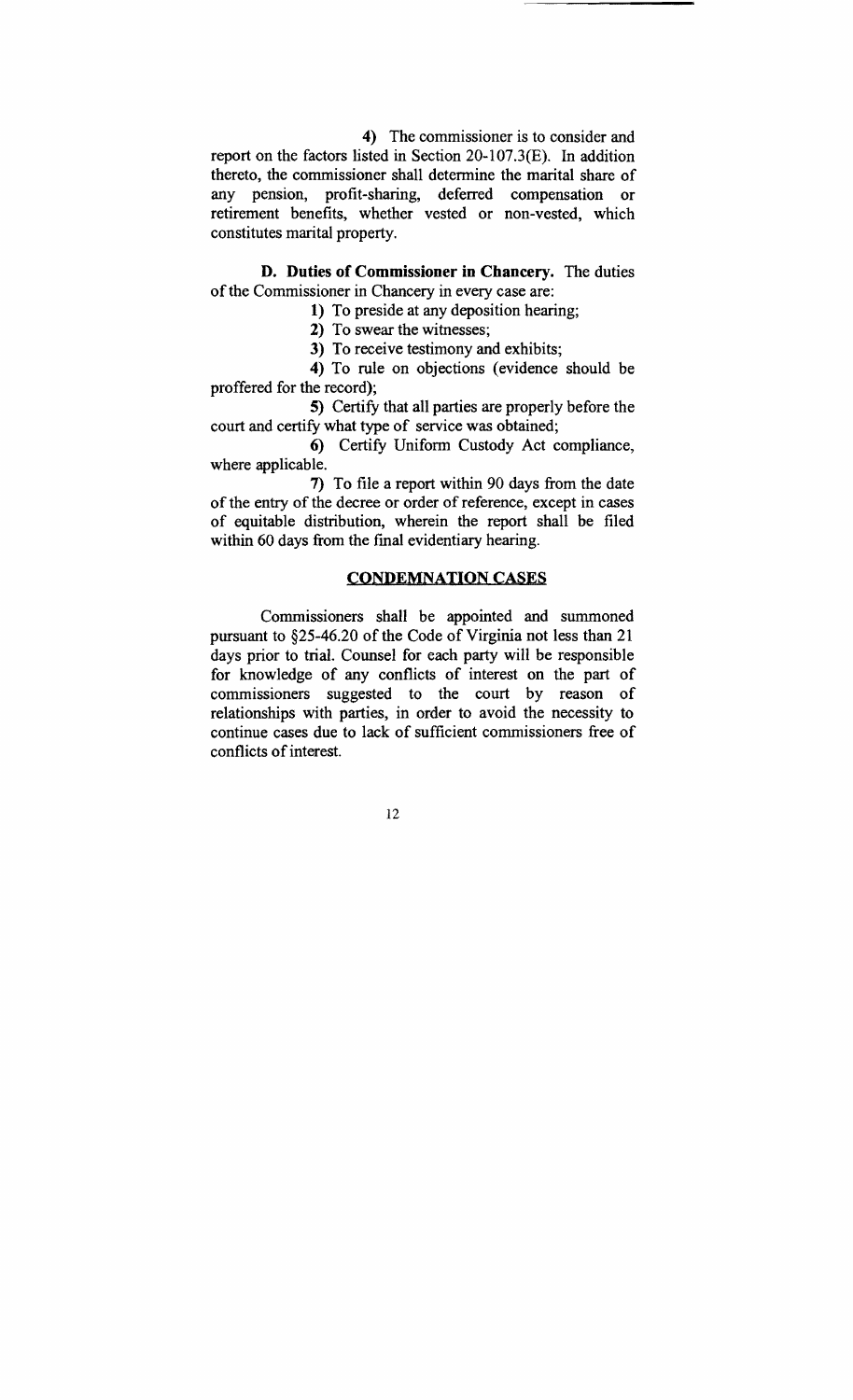4) The commissioner is to consider and report on the factors listed in Section 20-107.3(E). In addition thereto, the commissioner shall detennine the marital share of any pension, profit-sharing, deferred compensation or retirement benefits, whether vested or non-vested, which constitutes marital property.

D. Duties of Commissioner in Chancery. The duties of the Commissioner in Chancery in every case are:

1) To preside at any deposition hearing;

2) To swear the witnesses;

3) To receive testimony and exhibits;

4) To rule on objections (evidence should be proffered for the record);

5) Certify that all parties are properly before the court and certify what type of service was obtained;

6) Certify Unifonn Custody Act compliance, where applicable.

7) To file a report within 90 days from the date of the entry of the decree or order of reference, except in cases of equitable distribution, wherein the report shall be filed within 60 days from the final evidentiary hearing.

### CONDEMNATION CASES

Commissioners shall be appointed and summoned pursuant to §25-46.20 of the Code of Virginia not less than 21 days prior to trial. Counsel for each party will be responsible for knowledge of any conflicts of interest on the part of commissioners suggested to the court by reason of relationships with parties, in order to avoid the necessity to continue cases due to lack of sufficient commissioners free of conflicts of interest.